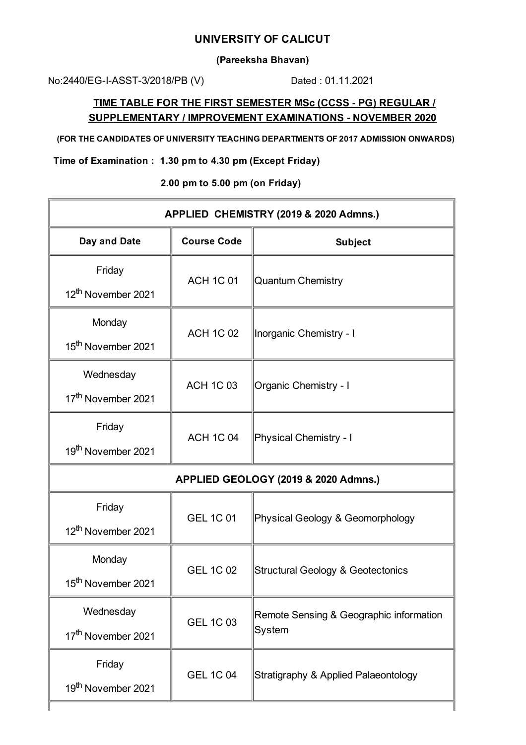## **UNIVERSITY OF CALICUT**

**(Pareeksha Bhavan)**

No:2440/EG-I-ASST-3/2018/PB (V) Dated: 01.11.2021

## **TIME TABLE FOR THE FIRST SEMESTER MSc (CCSS - PG) REGULAR / SUPPLEMENTARY / IMPROVEMENT EXAMINATIONS - NOVEMBER 2020**

**(FOR THE CANDIDATES OF UNIVERSITY TEACHING DEPARTMENTS OF 2017 ADMISSION ONWARDS)**

**Time of Examination : 1.30 pm to 4.30 pm (Except Friday)**

**2.00 pm to 5.00 pm (on Friday)**

| APPLIED CHEMISTRY (2019 & 2020 Admns.) |                    |                                                   |
|----------------------------------------|--------------------|---------------------------------------------------|
| Day and Date                           | <b>Course Code</b> | <b>Subject</b>                                    |
| Friday                                 | <b>ACH 1C 01</b>   | Quantum Chemistry                                 |
| 12 <sup>th</sup> November 2021         |                    |                                                   |
| Monday                                 | <b>ACH 1C 02</b>   | Inorganic Chemistry - I                           |
| 15 <sup>th</sup> November 2021         |                    |                                                   |
| Wednesday                              | <b>ACH 1C 03</b>   | <b>Organic Chemistry - I</b>                      |
| 17 <sup>th</sup> November 2021         |                    |                                                   |
| Friday                                 | <b>ACH 1C 04</b>   | Physical Chemistry - I                            |
| 19 <sup>th</sup> November 2021         |                    |                                                   |
| APPLIED GEOLOGY (2019 & 2020 Admns.)   |                    |                                                   |
| Friday                                 | <b>GEL 1C 01</b>   | Physical Geology & Geomorphology                  |
| 12 <sup>th</sup> November 2021         |                    |                                                   |
| Monday                                 | <b>GEL 1C 02</b>   | <b>Structural Geology &amp; Geotectonics</b>      |
| 15 <sup>th</sup> November 2021         |                    |                                                   |
| Wednesday                              | <b>GEL 1C 03</b>   | Remote Sensing & Geographic information<br>System |
| 17 <sup>th</sup> November 2021         |                    |                                                   |
| Friday                                 | <b>GEL 1C 04</b>   | Stratigraphy & Applied Palaeontology              |
| 19 <sup>th</sup> November 2021         |                    |                                                   |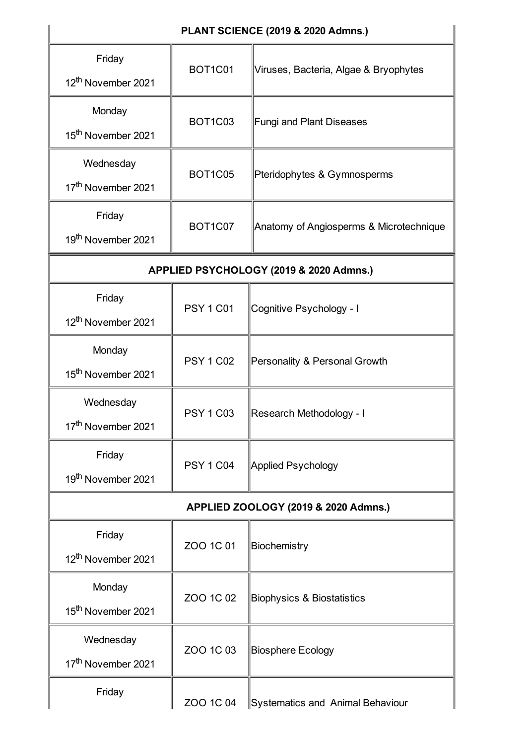| PLANT SCIENCE (2019 & 2020 Admns.)          |                  |                                         |
|---------------------------------------------|------------------|-----------------------------------------|
| Friday<br>12 <sup>th</sup> November 2021    | <b>BOT1C01</b>   | Viruses, Bacteria, Algae & Bryophytes   |
| Monday<br>15 <sup>th</sup> November 2021    | <b>BOT1C03</b>   | <b>Fungi and Plant Diseases</b>         |
| Wednesday<br>17 <sup>th</sup> November 2021 | <b>BOT1C05</b>   | Pteridophytes & Gymnosperms             |
| Friday<br>19 <sup>th</sup> November 2021    | <b>BOT1C07</b>   | Anatomy of Angiosperms & Microtechnique |
| APPLIED PSYCHOLOGY (2019 & 2020 Admns.)     |                  |                                         |
| Friday<br>12 <sup>th</sup> November 2021    | <b>PSY 1 C01</b> | Cognitive Psychology - I                |
| Monday<br>15 <sup>th</sup> November 2021    | <b>PSY 1 C02</b> | Personality & Personal Growth           |
| Wednesday<br>17 <sup>th</sup> November 2021 | <b>PSY 1 C03</b> | Research Methodology - I                |
| Friday<br>19 <sup>th</sup> November 2021    | <b>PSY 1 C04</b> | Applied Psychology                      |
| APPLIED ZOOLOGY (2019 & 2020 Admns.)        |                  |                                         |
| Friday<br>12 <sup>th</sup> November 2021    | ZOO 1C 01        | Biochemistry                            |
| Monday<br>15 <sup>th</sup> November 2021    | ZOO 1C 02        | <b>Biophysics &amp; Biostatistics</b>   |
| Wednesday<br>17 <sup>th</sup> November 2021 | ZOO 1C 03        | Biosphere Ecology                       |
| Friday                                      | ZOO 1C 04        | Systematics and Animal Behaviour        |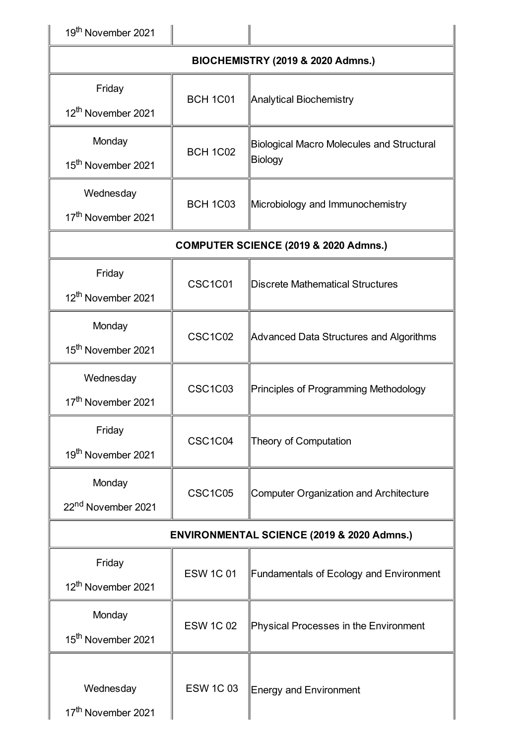| 19 <sup>th</sup> November 2021               |                  |                                                             |
|----------------------------------------------|------------------|-------------------------------------------------------------|
| <b>BIOCHEMISTRY (2019 &amp; 2020 Admns.)</b> |                  |                                                             |
| Friday<br>12 <sup>th</sup> November 2021     | <b>BCH 1C01</b>  | Analytical Biochemistry                                     |
| Monday<br>15 <sup>th</sup> November 2021     | <b>BCH 1C02</b>  | <b>Biological Macro Molecules and Structural</b><br>Biology |
| Wednesday<br>17 <sup>th</sup> November 2021  | <b>BCH 1C03</b>  | Microbiology and Immunochemistry                            |
|                                              |                  | COMPUTER SCIENCE (2019 & 2020 Admns.)                       |
| Friday<br>12 <sup>th</sup> November 2021     | CSC1C01          | Discrete Mathematical Structures                            |
| Monday<br>15 <sup>th</sup> November 2021     | <b>CSC1C02</b>   | Advanced Data Structures and Algorithms                     |
| Wednesday<br>17 <sup>th</sup> November 2021  | <b>CSC1C03</b>   | Principles of Programming Methodology                       |
| Friday<br>19 <sup>th</sup> November 2021     | CSC1C04          | Theory of Computation                                       |
| Monday<br>22 <sup>nd</sup> November 2021     | <b>CSC1C05</b>   | Computer Organization and Architecture                      |
|                                              |                  | <b>ENVIRONMENTAL SCIENCE (2019 &amp; 2020 Admns.)</b>       |
| Friday<br>12 <sup>th</sup> November 2021     | <b>ESW 1C 01</b> | Fundamentals of Ecology and Environment                     |
| Monday<br>15 <sup>th</sup> November 2021     | <b>ESW 1C 02</b> | Physical Processes in the Environment                       |
| Wednesday<br>17 <sup>th</sup> November 2021  | <b>ESW 1C03</b>  | Energy and Environment                                      |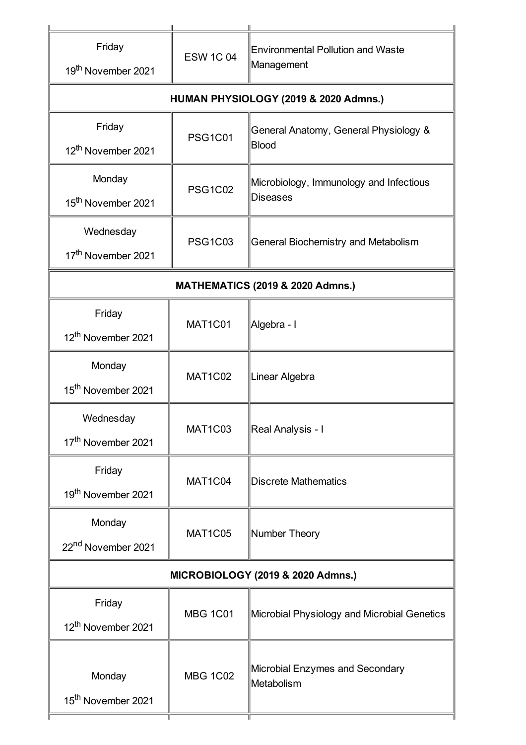| Friday<br>19 <sup>th</sup> November 2021    | <b>ESW 1C 04</b> | <b>Environmental Pollution and Waste</b><br>Management     |
|---------------------------------------------|------------------|------------------------------------------------------------|
| HUMAN PHYSIOLOGY (2019 & 2020 Admns.)       |                  |                                                            |
| Friday<br>12 <sup>th</sup> November 2021    | <b>PSG1C01</b>   | General Anatomy, General Physiology &<br>Blood             |
| Monday<br>15 <sup>th</sup> November 2021    | <b>PSG1C02</b>   | Microbiology, Immunology and Infectious<br><b>Diseases</b> |
| Wednesday<br>17 <sup>th</sup> November 2021 | <b>PSG1C03</b>   | <b>General Biochemistry and Metabolism</b>                 |
| <b>MATHEMATICS (2019 &amp; 2020 Admns.)</b> |                  |                                                            |
| Friday<br>12 <sup>th</sup> November 2021    | MAT1C01          | Algebra - I                                                |
| Monday<br>15 <sup>th</sup> November 2021    | MAT1C02          | Linear Algebra                                             |
| Wednesday<br>17 <sup>th</sup> November 2021 | MAT1C03          | Real Analysis - I                                          |
| Friday<br>19 <sup>th</sup> November 2021    | MAT1C04          | <b>Discrete Mathematics</b>                                |
| Monday<br>22 <sup>nd</sup> November 2021    | <b>MAT1C05</b>   | Number Theory                                              |
| MICROBIOLOGY (2019 & 2020 Admns.)           |                  |                                                            |
| Friday<br>12 <sup>th</sup> November 2021    | <b>MBG 1C01</b>  | Microbial Physiology and Microbial Genetics                |
| Monday<br>15 <sup>th</sup> November 2021    | <b>MBG 1C02</b>  | Microbial Enzymes and Secondary<br>Metabolism              |

Ť

Τ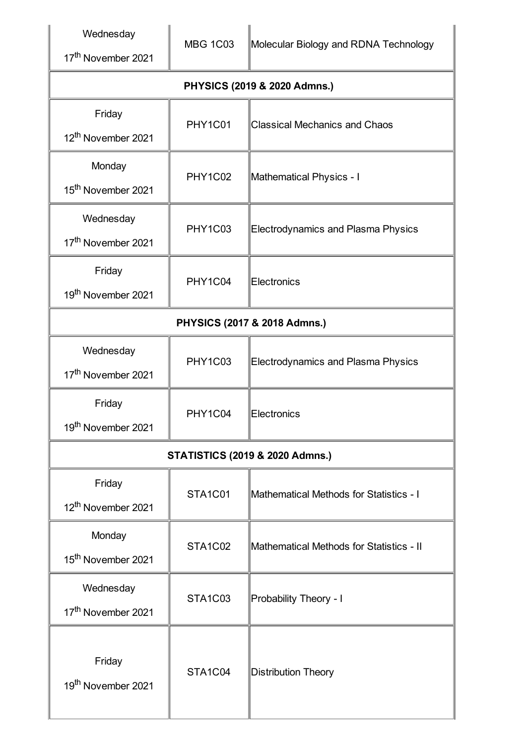Wednesday

17<sup>th</sup> November 2021

**PHYSICS (2019 & 2020 Admns.)**

| $111$ JICU (2019 & 2020 Admins.)            |                |                                           |
|---------------------------------------------|----------------|-------------------------------------------|
| Friday<br>12 <sup>th</sup> November 2021    | PHY1C01        | <b>Classical Mechanics and Chaos</b>      |
| Monday<br>15 <sup>th</sup> November 2021    | PHY1C02        | Mathematical Physics - I                  |
| Wednesday<br>17 <sup>th</sup> November 2021 | <b>PHY1C03</b> | Electrodynamics and Plasma Physics        |
| Friday<br>19 <sup>th</sup> November 2021    | PHY1C04        | Electronics                               |
| PHYSICS (2017 & 2018 Admns.)                |                |                                           |
| Wednesday<br>17 <sup>th</sup> November 2021 | <b>PHY1C03</b> | <b>Electrodynamics and Plasma Physics</b> |
| Friday<br>19th November 2021                | PHY1C04        | Electronics                               |
| <b>STATISTICS (2019 &amp; 2020 Admns.)</b>  |                |                                           |
| Friday<br>12 <sup>th</sup> November 2021    | STA1C01        | Mathematical Methods for Statistics - I   |
| Monday<br>15 <sup>th</sup> November 2021    | STA1C02        | Mathematical Methods for Statistics - II  |
| Wednesday<br>17 <sup>th</sup> November 2021 | <b>STA1C03</b> | Probability Theory - I                    |
| Friday<br>19 <sup>th</sup> November 2021    | STA1C04        | <b>Distribution Theory</b>                |